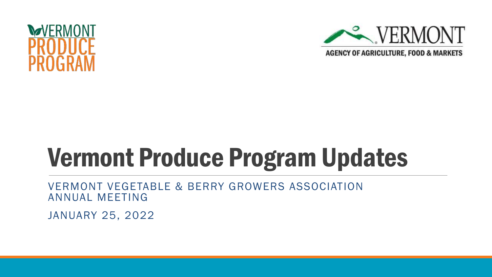



## Vermont Produce Program Updates

VERMONT VEGETABLE & BERRY GROWERS ASSOCIATION ANNUAL MEETING

JANUARY 25, 2022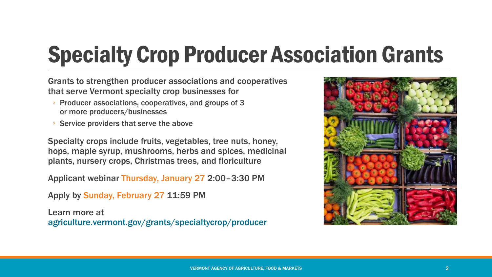#### Specialty Crop Producer Association Grants

Grants to strengthen producer associations and cooperatives that serve Vermont specialty crop businesses for

- Producer associations, cooperatives, and groups of 3 or more producers/businesses
- Service providers that serve the above

Specialty crops include fruits, vegetables, tree nuts, honey, hops, maple syrup, mushrooms, herbs and spices, medicinal plants, nursery crops, Christmas trees, and floriculture

Applicant webinar Thursday, January 27 2:00–3:30 PM

Apply by Sunday, February 27 11:59 PM

Learn more at [agriculture.vermont.gov/grants/specialtycrop/producer](https://agriculture.vermont.gov/grants/specialtycrop/producer)

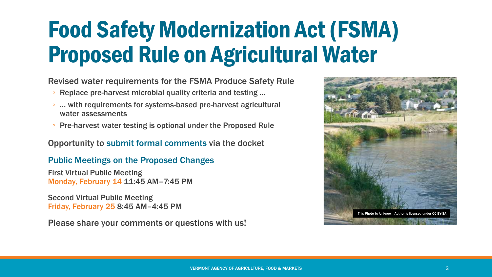#### [Food Safety Modernization Act \(FSMA\)](https://www.fda.gov/food/food-safety-modernization-act-fsma/fsma-proposed-rule-agricultural-water) Proposed Rule on Agricultural Water

Revised water requirements for the FSMA Produce Safety Rule

- Replace pre-harvest microbial quality criteria and testing …
- … with requirements for systems-based pre-harvest agricultural water assessments
- Pre-harvest [water testing is optional under](https://www.federalregister.gov/documents/2022/01/07/2021-28503/standards-for-the-growing-harvesting-packing-and-holding-of-produce-for-human-consumption-relating) the Proposed Rule

Opportunity to [submit formal comments](https://www.regulations.gov/docket/FDA-2021-N-0471) via the docket

[Public Meetings on the Proposed Changes](https://www.fda.gov/food/workshops-meetings-webinars-food-and-dietary-supplements/public-meetings-proposed-changes-agricultural-water-requirements-produce-safety-rule-02142022)

First Virtual Public Meeting Monday, February 14 11:45 AM–7:45 PM

Second Virtual Public Meeting Friday, February 25 8:45 AM–4:45 PM

Please share your comments or questions with us!

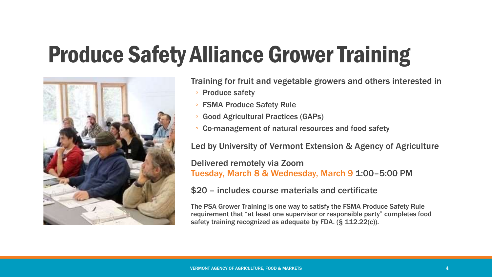### Produce Safety Alliance Grower Training



Training for fruit and vegetable growers and others interested in

- Produce safety
- FSMA Produce Safety Rule
- Good Agricultural Practices (GAPs)
- Co-management of natural resources and food safety

Led by University of Vermont Extension & Agency of Agriculture

Delivered remotely via Zoom Tuesday, March 8 & Wednesday, March 9 1:00–5:00 PM

\$20 – includes course materials and certificate

The PSA Grower Training is one way to satisfy the FSMA Produce Safety Rule requirement that "at least one supervisor or responsible party" completes food safety training recognized as adequate by FDA. (§ 112.22(c)).